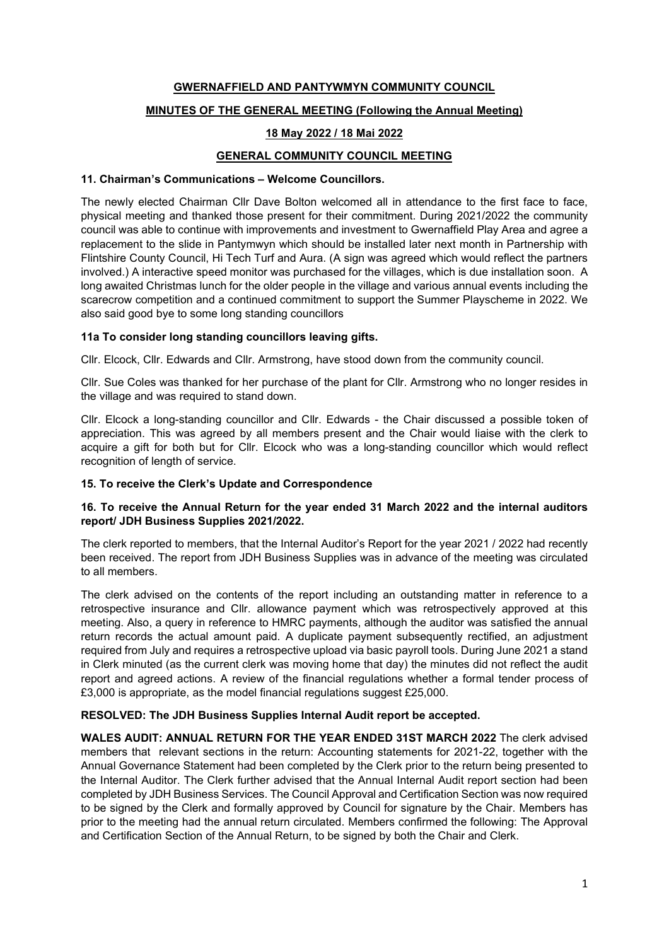#### GWERNAFFIELD AND PANTYWMYN COMMUNITY COUNCIL

## MINUTES OF THE GENERAL MEETING (Following the Annual Meeting)

## 18 May 2022 / 18 Mai 2022

## GENERAL COMMUNITY COUNCIL MEETING

#### 11. Chairman's Communications – Welcome Councillors.

The newly elected Chairman Cllr Dave Bolton welcomed all in attendance to the first face to face, physical meeting and thanked those present for their commitment. During 2021/2022 the community council was able to continue with improvements and investment to Gwernaffield Play Area and agree a replacement to the slide in Pantymwyn which should be installed later next month in Partnership with Flintshire County Council, Hi Tech Turf and Aura. (A sign was agreed which would reflect the partners involved.) A interactive speed monitor was purchased for the villages, which is due installation soon. A long awaited Christmas lunch for the older people in the village and various annual events including the scarecrow competition and a continued commitment to support the Summer Playscheme in 2022. We also said good bye to some long standing councillors

#### 11a To consider long standing councillors leaving gifts.

Cllr. Elcock, Cllr. Edwards and Cllr. Armstrong, have stood down from the community council.

Cllr. Sue Coles was thanked for her purchase of the plant for Cllr. Armstrong who no longer resides in the village and was required to stand down.

Cllr. Elcock a long-standing councillor and Cllr. Edwards - the Chair discussed a possible token of appreciation. This was agreed by all members present and the Chair would liaise with the clerk to acquire a gift for both but for Cllr. Elcock who was a long-standing councillor which would reflect recognition of length of service.

#### 15. To receive the Clerk's Update and Correspondence

#### 16. To receive the Annual Return for the year ended 31 March 2022 and the internal auditors report/ JDH Business Supplies 2021/2022.

The clerk reported to members, that the Internal Auditor's Report for the year 2021 / 2022 had recently been received. The report from JDH Business Supplies was in advance of the meeting was circulated to all members.

The clerk advised on the contents of the report including an outstanding matter in reference to a retrospective insurance and Cllr. allowance payment which was retrospectively approved at this meeting. Also, a query in reference to HMRC payments, although the auditor was satisfied the annual return records the actual amount paid. A duplicate payment subsequently rectified, an adjustment required from July and requires a retrospective upload via basic payroll tools. During June 2021 a stand in Clerk minuted (as the current clerk was moving home that day) the minutes did not reflect the audit report and agreed actions. A review of the financial regulations whether a formal tender process of £3,000 is appropriate, as the model financial regulations suggest £25,000.

#### RESOLVED: The JDH Business Supplies Internal Audit report be accepted.

WALES AUDIT: ANNUAL RETURN FOR THE YEAR ENDED 31ST MARCH 2022 The clerk advised members that relevant sections in the return: Accounting statements for 2021-22, together with the Annual Governance Statement had been completed by the Clerk prior to the return being presented to the Internal Auditor. The Clerk further advised that the Annual Internal Audit report section had been completed by JDH Business Services. The Council Approval and Certification Section was now required to be signed by the Clerk and formally approved by Council for signature by the Chair. Members has prior to the meeting had the annual return circulated. Members confirmed the following: The Approval and Certification Section of the Annual Return, to be signed by both the Chair and Clerk.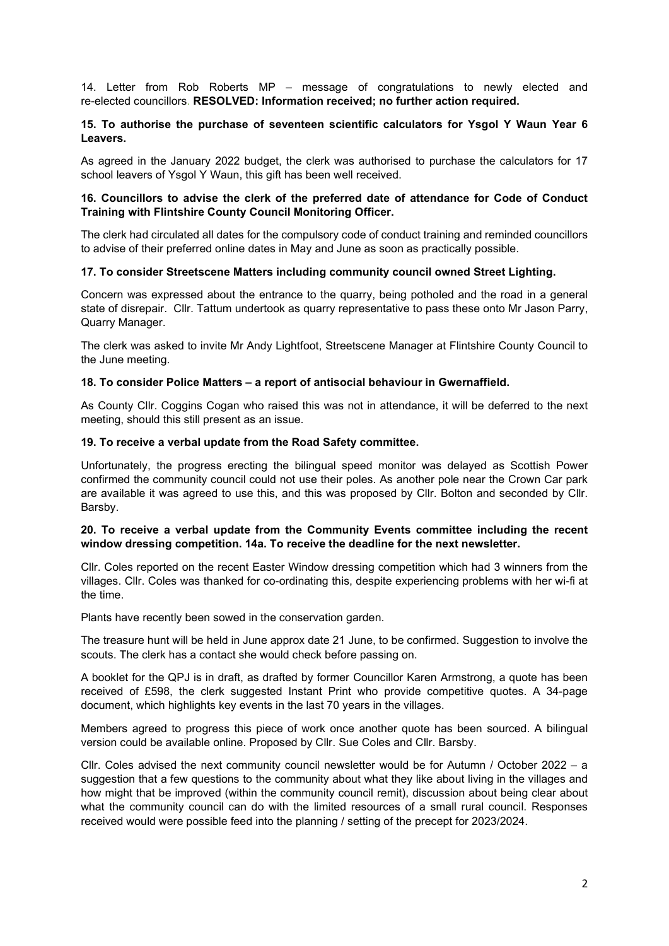14. Letter from Rob Roberts MP – message of congratulations to newly elected and re-elected councillors. RESOLVED: Information received; no further action required.

#### 15. To authorise the purchase of seventeen scientific calculators for Ysgol Y Waun Year 6 Leavers.

As agreed in the January 2022 budget, the clerk was authorised to purchase the calculators for 17 school leavers of Ysgol Y Waun, this gift has been well received.

#### 16. Councillors to advise the clerk of the preferred date of attendance for Code of Conduct Training with Flintshire County Council Monitoring Officer.

The clerk had circulated all dates for the compulsory code of conduct training and reminded councillors to advise of their preferred online dates in May and June as soon as practically possible.

#### 17. To consider Streetscene Matters including community council owned Street Lighting.

Concern was expressed about the entrance to the quarry, being potholed and the road in a general state of disrepair. Cllr. Tattum undertook as quarry representative to pass these onto Mr Jason Parry, Quarry Manager.

The clerk was asked to invite Mr Andy Lightfoot, Streetscene Manager at Flintshire County Council to the June meeting.

#### 18. To consider Police Matters – a report of antisocial behaviour in Gwernaffield.

As County Cllr. Coggins Cogan who raised this was not in attendance, it will be deferred to the next meeting, should this still present as an issue.

#### 19. To receive a verbal update from the Road Safety committee.

Unfortunately, the progress erecting the bilingual speed monitor was delayed as Scottish Power confirmed the community council could not use their poles. As another pole near the Crown Car park are available it was agreed to use this, and this was proposed by Cllr. Bolton and seconded by Cllr. Barsby.

#### 20. To receive a verbal update from the Community Events committee including the recent window dressing competition. 14a. To receive the deadline for the next newsletter.

Cllr. Coles reported on the recent Easter Window dressing competition which had 3 winners from the villages. Cllr. Coles was thanked for co-ordinating this, despite experiencing problems with her wi-fi at the time.

Plants have recently been sowed in the conservation garden.

The treasure hunt will be held in June approx date 21 June, to be confirmed. Suggestion to involve the scouts. The clerk has a contact she would check before passing on.

A booklet for the QPJ is in draft, as drafted by former Councillor Karen Armstrong, a quote has been received of £598, the clerk suggested Instant Print who provide competitive quotes. A 34-page document, which highlights key events in the last 70 years in the villages.

Members agreed to progress this piece of work once another quote has been sourced. A bilingual version could be available online. Proposed by Cllr. Sue Coles and Cllr. Barsby.

Cllr. Coles advised the next community council newsletter would be for Autumn / October 2022 – a suggestion that a few questions to the community about what they like about living in the villages and how might that be improved (within the community council remit), discussion about being clear about what the community council can do with the limited resources of a small rural council. Responses received would were possible feed into the planning / setting of the precept for 2023/2024.